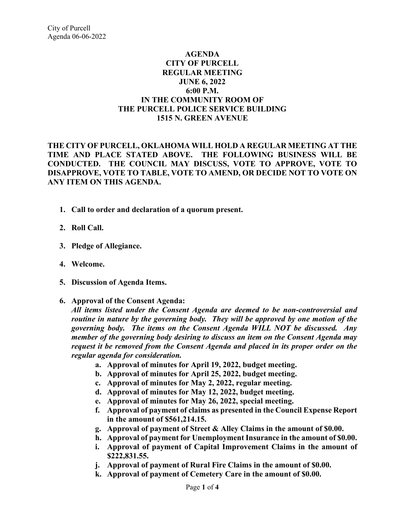## **AGENDA CITY OF PURCELL REGULAR MEETING JUNE 6, 2022 6:00 P.M. IN THE COMMUNITY ROOM OF THE PURCELL POLICE SERVICE BUILDING 1515 N. GREEN AVENUE**

**THE CITY OF PURCELL, OKLAHOMA WILL HOLD A REGULAR MEETING AT THE TIME AND PLACE STATED ABOVE. THE FOLLOWING BUSINESS WILL BE CONDUCTED. THE COUNCIL MAY DISCUSS, VOTE TO APPROVE, VOTE TO DISAPPROVE, VOTE TO TABLE, VOTE TO AMEND, OR DECIDE NOT TO VOTE ON ANY ITEM ON THIS AGENDA.** 

- **1. Call to order and declaration of a quorum present.**
- **2. Roll Call.**
- **3. Pledge of Allegiance.**
- **4. Welcome.**
- **5. Discussion of Agenda Items.**
- **6. Approval of the Consent Agenda:**

*All items listed under the Consent Agenda are deemed to be non-controversial and routine in nature by the governing body. They will be approved by one motion of the governing body. The items on the Consent Agenda WILL NOT be discussed. Any member of the governing body desiring to discuss an item on the Consent Agenda may request it be removed from the Consent Agenda and placed in its proper order on the regular agenda for consideration.*

- **a. Approval of minutes for April 19, 2022, budget meeting.**
- **b. Approval of minutes for April 25, 2022, budget meeting.**
- **c. Approval of minutes for May 2, 2022, regular meeting.**
- **d. Approval of minutes for May 12, 2022, budget meeting.**
- **e. Approval of minutes for May 26, 2022, special meeting.**
- **f. Approval of payment of claims as presented in the Council Expense Report in the amount of \$561,214.15.**
- **g. Approval of payment of Street & Alley Claims in the amount of \$0.00.**
- **h. Approval of payment for Unemployment Insurance in the amount of \$0.00.**
- **i. Approval of payment of Capital Improvement Claims in the amount of \$222,831.55.**
- **j. Approval of payment of Rural Fire Claims in the amount of \$0.00.**
- **k. Approval of payment of Cemetery Care in the amount of \$0.00.**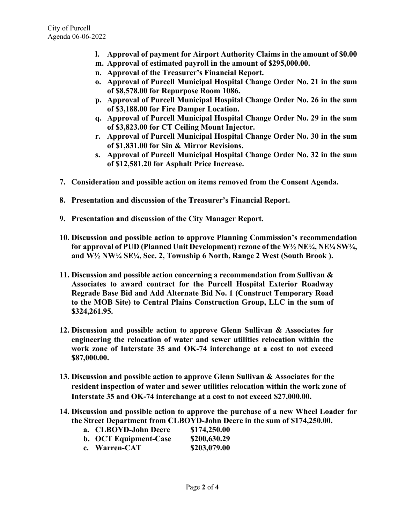- **l. Approval of payment for Airport Authority Claims in the amount of \$0.00**
- **m. Approval of estimated payroll in the amount of \$295,000.00.**
- **n. Approval of the Treasurer's Financial Report.**
- **o. Approval of Purcell Municipal Hospital Change Order No. 21 in the sum of \$8,578.00 for Repurpose Room 1086.**
- **p. Approval of Purcell Municipal Hospital Change Order No. 26 in the sum of \$3,188.00 for Fire Damper Location.**
- **q. Approval of Purcell Municipal Hospital Change Order No. 29 in the sum of \$3,823.00 for CT Ceiling Mount Injector.**
- **r. Approval of Purcell Municipal Hospital Change Order No. 30 in the sum of \$1,831.00 for Sin & Mirror Revisions.**
- **s. Approval of Purcell Municipal Hospital Change Order No. 32 in the sum of \$12,581.20 for Asphalt Price Increase.**
- **7. Consideration and possible action on items removed from the Consent Agenda.**
- **8. Presentation and discussion of the Treasurer's Financial Report.**
- **9. Presentation and discussion of the City Manager Report.**
- **10. Discussion and possible action to approve Planning Commission's recommendation for approval of PUD (Planned Unit Development) rezone of the W½ NE¼, NE¼ SW¼, and W½ NW¼ SE¼, Sec. 2, Township 6 North, Range 2 West (South Brook ).**
- **11. Discussion and possible action concerning a recommendation from Sullivan & Associates to award contract for the Purcell Hospital Exterior Roadway Regrade Base Bid and Add Alternate Bid No. 1 (Construct Temporary Road to the MOB Site) to Central Plains Construction Group, LLC in the sum of \$324,261.95.**
- **12. Discussion and possible action to approve Glenn Sullivan & Associates for engineering the relocation of water and sewer utilities relocation within the work zone of Interstate 35 and OK-74 interchange at a cost to not exceed \$87,000.00.**
- **13. Discussion and possible action to approve Glenn Sullivan & Associates for the resident inspection of water and sewer utilities relocation within the work zone of Interstate 35 and OK-74 interchange at a cost to not exceed \$27,000.00.**
- **14. Discussion and possible action to approve the purchase of a new Wheel Loader for the Street Department from CLBOYD-John Deere in the sum of \$174,250.00.**

| a. CLBOYD-John Deere | \$174,250.00 |
|----------------------|--------------|
|----------------------|--------------|

| b. OCT Equipment-Case | \$200,630.29 |
|-----------------------|--------------|
| c. Warren-CAT         | \$203,079.00 |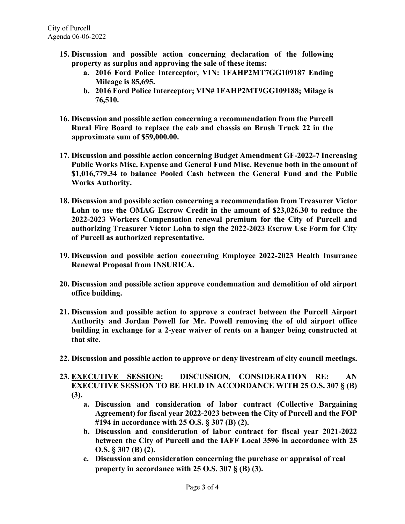- **15. Discussion and possible action concerning declaration of the following property as surplus and approving the sale of these items:**
	- **a. 2016 Ford Police Interceptor, VIN: 1FAHP2MT7GG109187 Ending Mileage is 85,695.**
	- **b. 2016 Ford Police Interceptor; VIN# 1FAHP2MT9GG109188; Milage is 76,510.**
- **16. Discussion and possible action concerning a recommendation from the Purcell Rural Fire Board to replace the cab and chassis on Brush Truck 22 in the approximate sum of \$59,000.00.**
- **17. Discussion and possible action concerning Budget Amendment GF-2022-7 Increasing Public Works Misc. Expense and General Fund Misc. Revenue both in the amount of \$1,016,779.34 to balance Pooled Cash between the General Fund and the Public Works Authority.**
- **18. Discussion and possible action concerning a recommendation from Treasurer Victor Lohn to use the OMAG Escrow Credit in the amount of \$23,026.30 to reduce the 2022-2023 Workers Compensation renewal premium for the City of Purcell and authorizing Treasurer Victor Lohn to sign the 2022-2023 Escrow Use Form for City of Purcell as authorized representative.**
- **19. Discussion and possible action concerning Employee 2022-2023 Health Insurance Renewal Proposal from INSURICA.**
- **20. Discussion and possible action approve condemnation and demolition of old airport office building.**
- **21. Discussion and possible action to approve a contract between the Purcell Airport Authority and Jordan Powell for Mr. Powell removing the of old airport office building in exchange for a 2-year waiver of rents on a hanger being constructed at that site.**
- **22. Discussion and possible action to approve or deny livestream of city council meetings.**
- **23. EXECUTIVE SESSION: DISCUSSION, CONSIDERATION RE: AN EXECUTIVE SESSION TO BE HELD IN ACCORDANCE WITH 25 O.S. 307 § (B) (3).** 
	- **a. Discussion and consideration of labor contract (Collective Bargaining Agreement) for fiscal year 2022-2023 between the City of Purcell and the FOP #194 in accordance with 25 O.S. § 307 (B) (2).**
	- **b. Discussion and consideration of labor contract for fiscal year 2021-2022 between the City of Purcell and the IAFF Local 3596 in accordance with 25 O.S. § 307 (B) (2).**
	- **c. Discussion and consideration concerning the purchase or appraisal of real property in accordance with 25 O.S. 307 § (B) (3).**